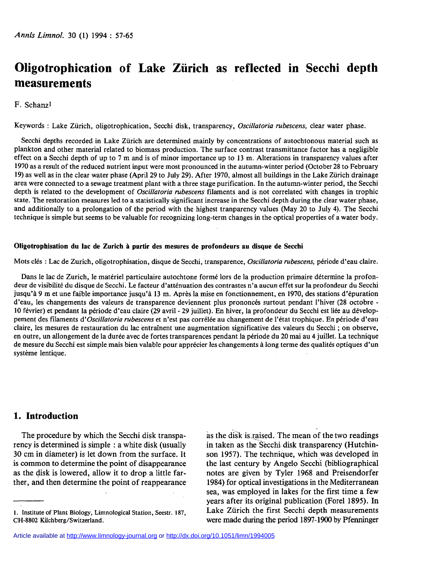# **Oligotrophication of Lake Zurich as reflected in Secchi depth measurements**

#### F. Schanz<sup>1</sup>

**Keywords : Lake Zurich, oligotrophication, Secchi disk, transparency,** *Oscillatoria rubescens,* **clear water phase.** 

**Secchi depths recorded in Lake Zurich are determined mainly by concentrations of autochtonous material such as plankton and other material related to biomass production. The surface contrast transmittance factor has a negligible effect on a Secchi depth of up to 7 m and is of minor importance up to 13 m. Alterations in transparency values after 1970 as a result of the reduced nutrient input were most pronounced in the autumn-winter period (October 28 to February 19) as well as in the clear water phase (April 29 to July 29). After 1970, almost all buildings in the Lake Zurich drainage area were connected to a sewage treatment plant with a three stage purification. In the autumn-winter period, the Secchi depth is related to the development of** *Oscillatoria rubescens* **filaments and is not correlated with changes in trophic state. The restoration measures led to a statistically significant increase in the Secchi depth during the clear water phase, and additionally to a prolongation of the period with the highest tranparency values (May 20 to July 4). The Secchi technique is simple but seems to be valuable for recognizing long-term changes in the optical properties of a water body.** 

#### Oligotrophisation du lac de Zurich à partir des mesures de profondeurs au disque de Secchi

**Mots clés : Lac de Zurich, oligotrophisation, disque de Secchi, transparence,** *Oscillatoria rubescens,* **période d'eau claire.** 

**Dans le lac de Zurich, le matériel particulaire autochtone formé lors de la production primaire détermine la profondeur de visibilité du disque de Secchi. Le facteur d'atténuation des contrastes n'a aucun effet sur la profondeur du Secchi jusqu'à 9 m et une faible importance jusqu'à 13 m. Après la mise en fonctionnement, en 1970, des stations d'épuration d'eau, les changements des valeurs de transparence deviennent plus prononcés surtout pendant l'hiver (28 octobre - 10 février) et pendant la période d'eau claire (29 avril - 29 juillet). En hiver, la profondeur du Secchi est liée au développement des filaments** *d'Oscillatoria rubescens* **et n'est pas corrélée au changement de l'état trophique. En période d'eau claire, les mesures de restauration du lac entraînent une augmentation significative des valeurs du Secchi ; on observe, en outre, un allongement de la durée avec de fortes transparences pendant la période du 20 mai au 4 juillet. La technique de mesure du Secchi est simple mais bien valable pour apprécier les changements à long terme des qualités optiques d'un système lentique.** 

# **1. Introduction**

The procedure by which the Secchi disk transparency is determined is simple : a white disk (usually 30 cm in diameter) is let down from the surface. It is common to determine the point of disappearance as the disk is lowered, allow it to drop a little farther, and then determine the point of reappearance

as the disk israised. The mean of the two readings in taken as the Secchi disk transparency (Hutchinson 1957). The technique, which was developed in the last century by Angelo Secchi (bibliographical notes are given by Tyler 1968 and Preisendorfer 1984) for optical investigations in the Mediterranean sea, was employed in lakes for the first time a few years after its original publication (Forel 1895). In Lake Zürich the first Secchi depth measurements were made during the period 1897-1900 by Pferminger

**<sup>1.</sup> Institute of Plant Biology, Limnological Station, Seestr. 187, CH-8802 Kilchberg/Switzerland.**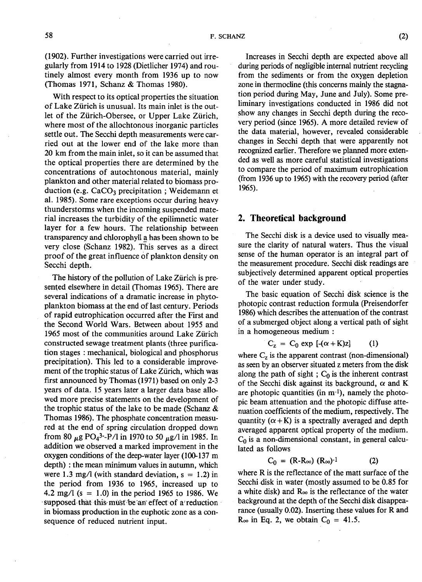(1902). Further investigations were carried out irregularly from 1914 to 1928 (Dietlicher 1974) and routinely almost every month from 1936 up to now (Thomas 1971, Schanz & Thomas 1980).

With respect to its optical properties the situation of Lake Zurich is unusual. Its main inlet is the outlet of the Ziirich-Obersee, or Upper Lake Zurich, where most of the allochtonous inorganic particles settle out. The Secchi depth measurements were carried out at the lower end of the lake more than 20 km from the main inlet, so it can be assumed that the optical properties there are determined by the concentrations of autochtonous material, mainly plankton and other material related to biomass production (e.g. CaCG**\*3** precipitation ; Weidemann et al. 1985). Some rare exceptions occur during heavy thunderstorms when the incoming suspended material increases the turbidity of the epilimnetic water layer for a few hours. The relationship between transparency and chlorophyll a has been shown to be very close (Schanz 1982). This serves as a direct proof of the great influence of plankton density on Secchi depth.

The history of the pollution of Lake Zürich is presented elsewhere in detail (Thomas 1965). There are several indications of a dramatic increase in phytoplankton biomass at the end of last century. Periods of rapid eutrophication occurred after the First and the Second World Wars. Between about 1955 and 1965 most of the communities around Lake Zürich constructed sewage treatment plants (three purification stages : mechanical, biological and phosphorus precipitation). This led to a considerable improvement of the trophic status of Lake **Zurich,** which was first announced by Thomas (1971) based on only 2-3 years of data. 15 years later a larger data base allowed more precise statements on the development of the trophic status of the lake to be made (Schanz & Thomas 1986). The phosphate concentration measured at the end of spring circulation dropped down from 80  $_{\mu}$ g PO<sub>4</sub>3--P/l in 1970 to 50  $_{\mu}$ g/l in 1985. In addition we observed a marked improvement in the oxygen conditions of the deep-water layer (100-137 m depth) : the mean minimum values in autumn, which were 1.3 mg/l (with standard deviation,  $s = 1.2$ ) in the period from 1936 to 1965, increased up to 4.2 mg/l (s = 1.0) in the period 1965 to 1986. We supposed that this must be an effect of a'reduction in biomass production in the euphotic zone as a consequence of reduced nutrient input.

Increases in Secchi depth are expected above all during periods of negligible internal nutrient recycling from the sediments or from the oxygen depletion zone in thermocline (this concerns mainly the stagnation period during May, June and July). Some preliminary investigations conducted in 1986 did not show any changes in Secchi depth during the recovery period (since 1965). A more detailed review of the data material, however, revealed considerable changes in Secchi depth that were apparently not recognized earlier. Therefore we planned more extended as well as more careful statistical investigations to compare the period of maximum eutrophication (from 1936 up to 1965) with the recovery period (after 1965).

# **2. Theoretical background**

The Secchi disk is a device used to visually measure the clarity of natural waters. Thus the visual sense of the human operator is an integral part of the measurement procedure. Secchi disk readings are subjectively determined apparent optical properties of the water under study.

The basic equation of Secchi disk science is the photopic contrast reduction formula (Preisendorfer 1986) which describes the attenuation of the contrast of a submerged object along a vertical path of sight in a homogeneous medium :

$$
C_z = C_0 \exp [-(\alpha + K)z] \qquad (1)
$$

where **C<sup>z</sup>** is the apparent contrast (non-dimensional) as seen by an observer situated z meters from the disk along the path of sight ;  $C_0$  is the inherent contrast of the Secchi disk against its background,  $\alpha$  and K are photopic quantities (in  $m^{-1}$ ), namely the photopic beam attenuation and the photopic diffuse attenuation coefficients of the medium, respectively. The quantity  $(\alpha + K)$  is a spectrally averaged and depth averaged apparent optical property of the medium.  $C_0$  is a non-dimensional constant, in general calculated as follows

$$
C_0 = (R-R_{oo}) (R_{oo})^{-1}
$$
 (2)

where **R** is the reflectance of the matt surface of the Secchi disk in water (mostly assumed to be Ó.85 for a white disk) and **Roo** is the reflectance of the water background at the depth of the Secchi disk disappearance (usually 0.02). Inserting these values for **R** and  $R_{\infty}$  in Eq. 2, we obtain  $C_0 = 41.5$ .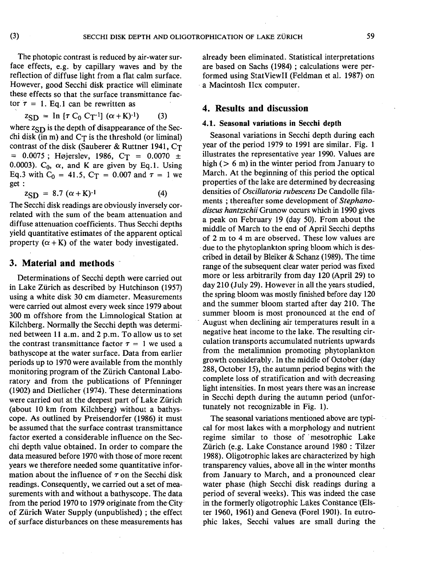The photopic contrast is reduced by air-water surface effects, e.g. by capillary waves and by the reflection of diffuse light from a flat calm surface. However, good Secchi disk practice will eliminate these effects so that the surface transmittance factor  $\tau = 1$ . Eq. 1 can be rewritten as

$$
z_{\text{SD}} = \text{In } [\tau C_0 C_T^{-1}] (\alpha + K)^{-1}) \tag{3}
$$

where  $z_{SD}$  is the depth of disappearance of the Secchi disk (in m) and  $C_T$  is the threshold (or liminal) contrast of the disk (Sauberer & Ruttner 1941, C<sub>T</sub>  $= 0.0075$ ; Højerslev, 1986, C<sub>T</sub> = 0.0070 ± 0.0003).  $C_0$ ,  $\alpha$ , and K are given by Eq.1. Using Eq.3 with  $C_0 = 41.5$ ,  $C_T = 0.007$  and  $\tau = 1$  we get :

$$
z_{\text{SD}} = 8.7 \ (\alpha + K)^{-1} \tag{4}
$$

The Secchi disk readings are obviously inversely correlated with the sum of the beam attenuation and diffuse attenuation coefficients. Thus Secchi depths yield quantitative estimates of the apparent optical property  $(\alpha + K)$  of the water body investigated.

## **3. Material and methods**

Determinations of Secchi depth were carried out in Lake Zurich as described by Hutchinson (1957) using a white disk 30 cm diameter. Measurements were carried out almost every week since 1979 about 300 m offshore from the Limnological Station at Kilchberg. Normally the Secchi depth was determined between 11 a.m. and 2 p.m. To allow us to set the contrast transmittance factor  $\tau = 1$  we used a bathyscope at the water surface. Data from earlier periods up to 1970 were available from the monthly monitoring program of the Zurich Cantonal Laboratory and from the publications of Pfenninger (1902) and Dietlicher (1974). These determinations were carried out at the deepest part of Lake Zürich (about 10 km from Kilchberg) without a bathyscope. As outlined by Preisendorfer (1986) it must be assumed that the surface contrast transmittance factor exerted a considerable influence on the Secchi depth value obtained. In order to compare the data measured before 1970 with those of more recent years we therefore needed some quantitative information about the influence of *r* on the Secchi disk readings. Consequently, we carried out a set of measurements with and without a bathyscope. The data from the period 1970 to 1979 originate from the City of Zürich Water Supply (unpublished); the effect of surface disturbances on these measurements has

already been eliminated. Statistical interpretations are based on Sachs (1984) ; calculations were performed using StatViewII (Feldman et al. 1987) on a Macintosh Ilex computer.

# **4. Results and discussion**

#### **4.1.** Seasonal variations in Secchi depth

Seasonal variations in Secchi depth during each year of the period 1979 to 1991 are similar. Fig. 1 illustrates the representative year 1990. Values are high ( $> 6$  m) in the winter period from January to March. At the beginning of this period the optical properties of the lake are determined by decreasing densities of *Oscillatoria rubescens* De Candolle filaments ; thereafter some development of *Stephanodiscus hantzschii* Grunow occurs which in 1990 gives a peak on February 19 (day 50). From about the middle of March to the end of April Secchi depths of 2 m to 4 m are observed. These low values are due to the phytoplankton spring bloom which is described in detail by Bleiker & Schanz (1989). The time range of the subsequent clear water period was fixed more or less arbitrarily from day 120 (April 29) to day 210 (July 29). However in all the years studied, the spring bloom was mostly finished before day 120 and the summer bloom started after day 210. The summer bloom is most pronounced at the end of August when declining air temperatures result in a negative heat income to the lake. The resulting circulation transports accumulated nutrients upwards from the metalimnion promoting phytoplankton growth considerably. In the middle of October (day 288, October 15), the autumn period begins with the complete loss of stratification and with decreasing light intensities. In most years there was an increase in Secchi depth during the autumn period (unfortunately not recognizable in Fig. 1).

The seasonal variations mentioned above are typical for most lakes with a morphology and nutrient regime similar to those of mesotrophic Lake Zürich (e.g. Lake Constance around 1980 : Tilzer 1988). Oligotrophic lakes are characterized by high transparency values, above all in the winter months from January to March, and a pronounced clear water phase (high Secchi disk readings during a period of several weeks). This was indeed the case in the formerly oligotrophic Lakes Constance (Elster 1960, 1961) and Geneva (Forel 1901). In eutrophic lakes, Secchi values are small during the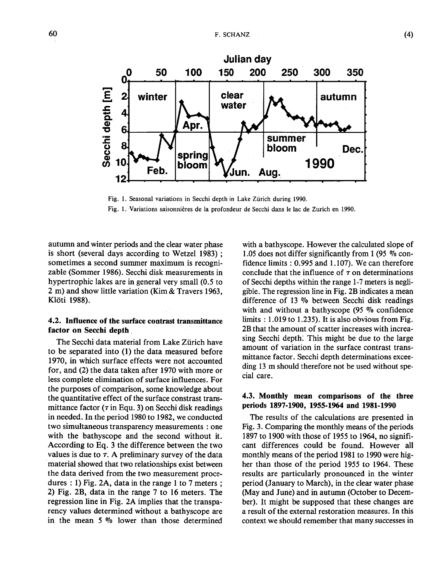

**Fig. 1. Seasonal variations in Secchi depth in Lake Zurich during 1990. Fig. 1. Variations saisonnières de la profondeur de Secchi dans le lac de Zurich en 1990.** 

autumn and winter periods and the clear water phase is short (several days according to Wetzel 1983) ; sometimes a second summer maximum is recognizable (Sommer 1986). Secchi disk measurements in hypertrophic lakes are in general very small (0.5 to 2 m) and show little variation (Kim & Travers 1963, Klôti 1988).

## 4.2. Influence of the surface contrast transmittance factor on Secchi depth

The Secchi data material from Lake Zürich have to be separated into (1) the data measured before 1970, in which surface effects were not accounted for, and (2) the data taken after 1970 with more or less complete elimination of surface influences. For the purposes of comparison, some knowledge about the quantitative effect of the surface constrast transmittance factor  $(\tau)$  in Equ. 3) on Secchi disk readings in needed. In the period 1980 to 1982, we conducted two simultaneous transparency measurements : one with the bathyscope and the second without it. According to Eq. 3 the difference between the two values is due to  $\tau$ . A preliminary survey of the data material showed that two relationships exist between the data derived from the two measurement procedures : 1) Fig. 2A, data in the range 1 to 7 meters ; 2) Fig. 2B, data in the range 7 to 16 meters. The regression line in Fig. 2A implies that the transparency values determined without a bathyscope are in the mean 5 % lower than those determined

with a bathyscope. However the calculated slope of 1.05 does not differ significantly from 1 (95 % confidence limits : 0.995 and 1.107). We can therefore conclude that the influence of  $\tau$  on determinations of Secchi depths within the range 1-7 meters is negligible. The regression line in Fig. 2B indicates a mean difference of 13 % between Secchi disk readings with and without a bathyscope (95 % confidence limits : 1.019 to 1.235). It is also obvious from Fig. 2B that the amount of scatter increases with increasing Secchi depth: This might be due to the large amount of variation in the surface contrast transmittance factor. Secchi depth determinations exceeding 13 m should therefore not be used without special care.

#### 4.3. Monthly mean comparisons of the three periods 1897-1900, 1955-1964 and 1981-1990

The results of the calculations are presented in Fig. 3. Comparing the monthly means of the periods 1897 to 1900 with those of 1955 to 1964, no significant differences could be found. However all monthly means of the period 1981 to 1990 were higher than those of the period 1955 to 1964. These results are particularly pronounced in the winter period (January to March), in the clear water phase (May and June) and in autumn (October to December). It might be supposed that these changes are a result of the external restoration measures. In this context we should remember that many successes in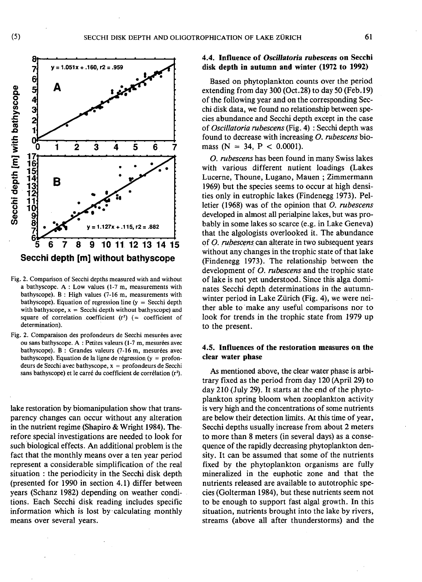



**Secchi depth [m] without bathyscope** 

- **Fig. 2. Comparison of Secchi depths measured with and without a bathyscope. A : Low values (1-7 m, measurements with bathyscope). B : High values (7-16 m, measurements with bathyscope). Equation of regression line (y = Secchi depth**  with bathyscope,  $x =$  Secchi depth without bathyscope) and **square of correlation coefficient (r<sup>1</sup> ) (= coefficient of determination).**
- **Fig. 2. Comparaison des profondeurs de Secchi mesurées avec ou sans bathyscope. A : Petites valeurs (1-7 m, mesurées avec bathyscope). B : Grandes valeurs (7-16 m, mesurées avec bathyscope). Equation de la ligne de régression (y = profondeurs de Secchi avec bathyscope, x = profondeurs de Secchi sans bathyscope) et le carré du coefficient de corrélation (r<sup>2</sup> ).**

lake restoration by biomanipulation show that transparency changes can occur without any alteration in the nutrient regime (Shapiro & Wright 1984). Therefore special investigations are needed to look for such biological effects. An additional problem is the fact that the monthly means over a ten year period represent a considerable simplification of the real situation : the periodicity in the Secchi disk depth (presented for 1990 in section 4.1) differ between years (Schanz 1982) depending on weather conditions. Each Secchi disk reading includes specific information which is lost by calculating monthly means over several years.

## 4.4. Influence of *Oscillatoria rubescens on* Secchi disk depth in autumn and winter (1972 to 1992)

Based on phytoplankton counts over the period extending from day 300 (Oct.28) to day 50 (Feb. 19) of the following year and on the corresponding Secchi disk data, we found no relationship between species abundance and Secchi depth except in the case of *Oscillatoria rubescens* (Fig. 4) : Secchi depth was found to decrease with increasing *O. rubescens* biomass (N = 34, P < 0.0001).

*O. rubescens* has been found in many Swiss lakes with various different nutient loadings (Lakes Lucerne, Thoune, Lugano, Mauen ; Zimmermann 1969) but the species seems to occur at high densities only in eutrophic lakes (Findenegg 1973). Pelletier (1968) was of the opinion that *O. rubescens*  developed in almost all perialpine lakes, but was probably in some lakes so scarce (e.g. in Lake Geneva) that the algologists overlooked it. The abundance of *O. rubescens* can altérate in two subsequent years without any changes in the trophic state of that lake (Findenegg 1973). The relationship between the development of *O. rubescens* and the trophic state of lake is not yet understood. Since this alga dominates Secchi depth determinations in the autumnwinter period in Lake Zürich (Fig. 4), we were neither able to make any useful comparisons nor to look for trends in the trophic state from 1979 up to the present.

#### 4.5. Influences of the restoration measures on the clear water phase

As mentioned above, the clear water phase is arbitrary fixed as the period from day 120 (April 29) to day 210 (July 29). It starts at the end of the phytoplankton spring bloom when zooplankton activity is very high and the concentrations of some nutrients are below their detection limits. At this time of year, Secchi depths usually increase from about 2 meters to more than 8 meters (in several days) as a consequence of the rapidly decreasing phytoplankton density. It can be assumed that some of the nutrients fixed by the phytoplankton organisms are fully mineralized in the euphotic zone and that the nutrients released are available to autotrophic species (Golterman 1984), but these nutrients seem not to be enough to support fast algal growth. In this situation, nutrients brought into the lake by rivers, streams (above all after thunderstorms) and the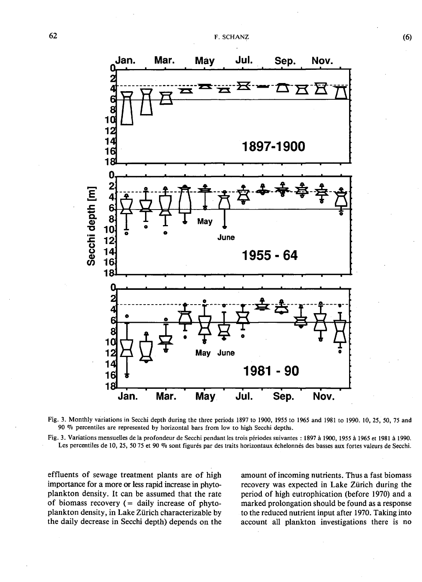



**Fig. 3. Variations mensuelles de la profondeur de Secchi pendant les trois périodes suivantes : 1897 à 1900, 1955 à 1965 et 1981 à 1990. Les percentiles de 10, 25, 50 75 et 90 % sont figurés par des traits horizontaux échelonnés des basses aux fortes valeurs de Secchi.** 

effluents of sewage treatment plants are of high importance for a more or less rapid increase in phytoplankton density. It can be assumed that the rate of biomass recovery  $($  = daily increase of phytoplankton density, in Lake Zurich characterizable by the daily decrease in Secchi depth) depends on the amount of incoming nutrients. Thus a fast biomass recovery was expected in Lake **Zurich** during the period of high eutrophication (before 1970) and a marked prolongation should be found as a response to the reduced nutrient input after 1970. Taking into account all plankton investigations there is no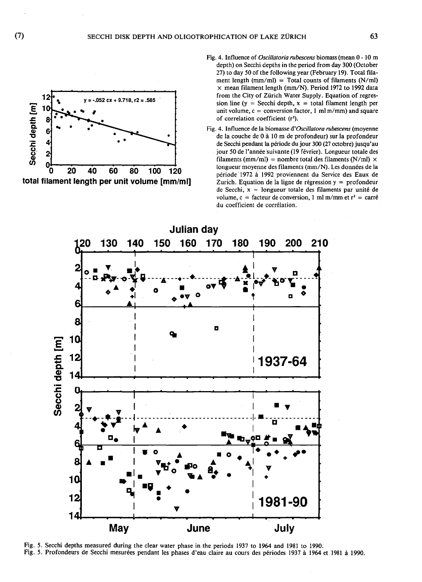

- **Fig. 4. Influence of** *Oscillatoria rubescens* **biomass (mean 0 -10 m depth) on Secchi depths in the period from day 300 (October 27) to day 50 of the following year (February 19). Total filament length (mm/ml) = Total counts of filaments (N/ml) x mean filament length (mm/N). Period 1972 to 1992 data**  from the City of Zürich Water Supply. Equation of regres $sion line (y = Secchi depth, x = total filament length per)$ **unit volume, c = conversion factor, 1 ml m/mm) and square of correlation coefficient (r¡ ).**
- **Fig. 4. Influence de la biomasse** *d'Oscillatora rubescens* **(moyenne de la couche de 0 à 10 m de profondeur) sur la profondeur de Secchi pendant la période du jour 300 (27 octobre) jusqu'au jour 50 de l'année suivante (19 février). Longueur totale des**  filaments (mm/ml) = nombre total des filaments  $(N/ml) \times$ **longueur moyenne des filaments (mm/N). Les données de la période 1972 à 1992 proviennent du Service des Eaux de Zurich. Equation de la ligne de régression y = profondeur de Secchi, x = longueur totale des filaments par unité de volume, c = facteur de conversion, 1 ml m/mm et r<sup>2</sup> = carré du coefficient de corrélation.**



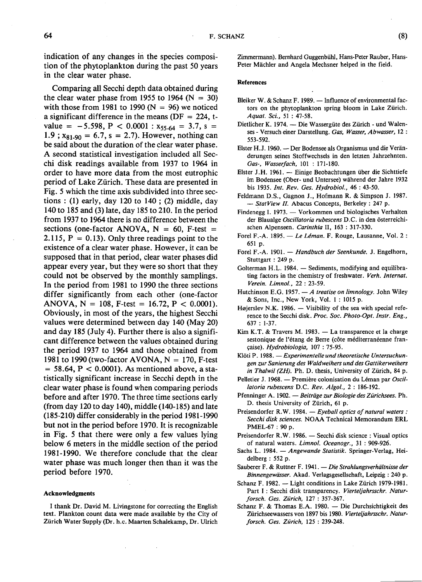indication of any changes in the species composition of the phytoplankton during the past 50 years in the clear water phase.

Comparing all Secchi depth data obtained during the clear water phase from 1955 to 1964 ( $N = 30$ ) with those from 1981 to 1990 ( $N = 96$ ) we noticed a significant difference in the means ( $DF = 224$ , tvalue =  $-5.598$ , P < 0.0001 :  $x_{55-64} = 3.7$ , s =  $1.9$ ;  $x_{81-90} = 6.7$ , s = 2.7). However, nothing can be said about the duration of the clear water phase. A second statistical investigation included all Secchi disk readings available from 1937 to 1964 in order to have more data from the most eutrophic period of Lake Zurich. These data are presented in Fig. 5 which the time axis subdivided into three sections : (1) early, day 120 to 140 ; (2) middle, day 140 to 185 and (3) late, day 185 to 210. In the period from 1937 to 1964 there is no difference between the sections (one-factor ANOVA,  $N = 60$ , F-test = 2.115,  $P = 0.13$ . Only three readings point to the existence of a clear water phase. However, it can be supposed that in that period, clear water phases did appear every year, but they were so short that they could not be observed by the monthly samplings. In the period from 1981 to 1990 the three sections differ significantly from each other (one-factor ANOVA,  $N = 108$ , F-test = 16.72, P < 0.0001). Obviously, in most of the years, the highest Secchi values were determined between day 140 (May 20) and day 185 (July 4). Further there is also a significant difference between the values obtained during the period 1937 to 1964 and those obtained from 1981 to 1990 (two-factor AVONA,  $N = 170$ , F-test  $= 58.64$ ,  $P < 0.0001$ ). As mentioned above, a statistically significant increase in Secchi depth in the clear water phase is found when comparing periods before and after 1970. The three time sections early (from day 120 to day 140), middle (140-185) and late (185-210) differ considerably in the period 1981-1990 but not in the period before 1970. It is recognizable in Fig. 5 that there were only a few values lying below 6 meters in the middle section of the period 1981-1990. We therefore conclude that the clear water phase was much longer then than it was the period before 1970.

#### **Acknowledgments**

**I thank Dr. David M. Livingstone for correcting the English text. Plankton count data were made available by the City of Zurich Water Supply (Dr. h.c. Maarten Schalekamp, Dr. Ulrich**  **Zimmermann). Bernhard Guggenbühl, Hans-Peter Rauber, Hans-**Peter Mächler and Angela Mechsner helped in the field.

#### **References**

- **Bleiker W. & Schanz F. 1989. Influence of environmental factors on the phytoplankton spring bloom in Lake Zurich.**  *Aquat. Sci.,* **51 : 47-58.**
- **Dietlicher K. 1974. Die Wassergiite des Zurich und Walen**ses - Versuch einer Darstellung. Gas, Wasser, Abwasser, 12 : **553-592.**
- **Elster H.J. 1960. Der Bodensee als Organismus und die Verànderungen seines Stoffwechsels in den letzten Jahrzehnten.**  *Gas-, Wasserfach,* **101 : 171-180.**
- **Elster J.H. 1961. Einige Beobachtungen iiber die Sichttiefe im Bodensee (Ober- und Untersee) wàhrend der Jahre 1932 bis 1935.** *Int. Rev. Ges. Hydrobiol.,* **46 : 43-50.**
- **Feldmann D.S., Gagnon J., Hofmann R. & Simpson J. 1987.**  *— StatView II.* **Abacus Concepts, Berkeley : 247 p.**
- **Findenegg I. 1973. Vorkommen und biologisches Verhalten der Blaualge** *Oscillaloria rubescens* **D.C. in den osterreichischen Alpenseen.** *Carinthia* **II, 163 : 317-330.**
- **Forel F.-A. 1895. —** *Le Léman.* **F. Rouge, Lausanne, Vol. 2 : 651 p.**
- **Forel F.-A. 1901. —** *Handbuch der Seenkunde.* **J. Engelhorn, Stuttgart : 249 p.**
- **Golterman H.L. 1984. Sediments, modifying and equilibrating factors in the chemistry of freshwater.** *Verb. Internat. Verein. Limnol., 22* **: 23-59.**
- **Hutchinson E.G. 1957. —** *A treatise on limnology.* **John Wiley & Sons, Inc., New York, Vol. 1 : 1015 p.**
- **Hejerslev N.K. 1986. Visibility of the sea with special reference to the Secchi disk.** *Proc. Soc. Photo-Opt. Instr. Eng.,*  **637 : 1-37.**
- **Kim K.T. & Travers M. 1983. La transparence et la charge sestonique de l'étang de Berre (côte méditerranéenne française).** *Hydrobiologia,* **107 : 75-95.**
- **Klôti P. 1988. —***Experimentelleund theoretische Untersuchungen zur Sanierung des Waldweihers und des Gattikerweihers in Thalwil (ZH).* **Ph. D. thesis, University of Zurich, 84 p.**
- **Pelletier J. 1968. Première colonisation du Léman par** *Oscillatoria rubescens* **D.C.** *Rev. Algol., 2 :* **186-192.**
- **Pfenninger A. 1902. —***Beitrage zur Biologie des Zürichsees.* **Ph.**  D. thesis University of Zürich, 61 p.
- **Preisendorfer R.W. 1984. —** *Eyeball optics of natural waters : Secchi disk sciences.* **NOAA Technical Memorandum ERL PMEL-67 : 90 p.**
- **Preisendorfer R.W. 1986. Secchi disk science : Visual optics of natural waters.** *Limnol. Oceanogr.,* **31 : 909-926.**
- **Sachs L. 1984. —** *Angewande Statistik.* **Springer-Verlag, Heidelberg : 552 p.**
- **Sauberer F. & Ruttner F. 1941. —** *Die Strahlungsverhaltnisse der Binnengewàsser.* **Akad. Verlagsgesellschaft, Leipzig : 240 p.**
- Schanz F. 1982. Light conditions in Lake Zürich 1979-1981. **Part I : Secchi disk transparency.** *Vierteljahrsschr. Naturforsch. Ges. Zurich,* **127 : 357-367.**
- **Schanz F. & Thomas E.A. 1980. Die Durchsichtigkeit des Zürichseewassers von 1897 bis 1980.** *Vierteljahrsschr. Naturforsch. Ges. Zurich,* **125 : 239-248.**